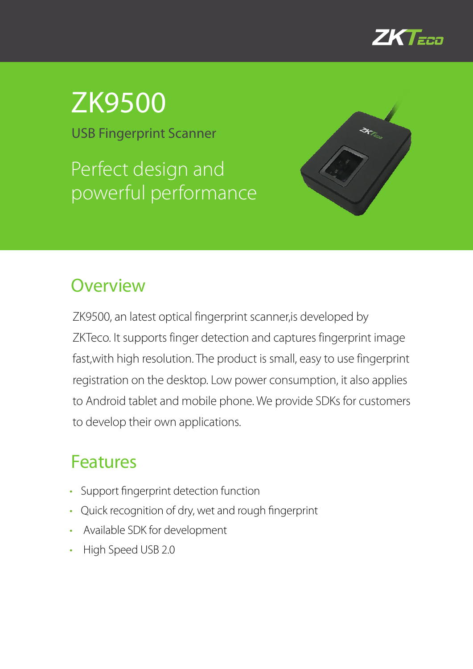

## ZK9500

USB Fingerprint Scanner

Perfect design and powerful performance



## **Overview**

ZK9500, an latest optical fingerprint scanner,is developed by ZKTeco. It supports finger detection and captures fingerprint image fast,with high resolution. The product is small, easy to use fingerprint registration on the desktop. Low power consumption, it also applies to Android tablet and mobile phone. We provide SDKs for customers to develop their own applications.

## Features

- Support fingerprint detection function
- Quick recognition of dry, wet and rough fingerprint
- Available SDK for development
- High Speed USB 2.0